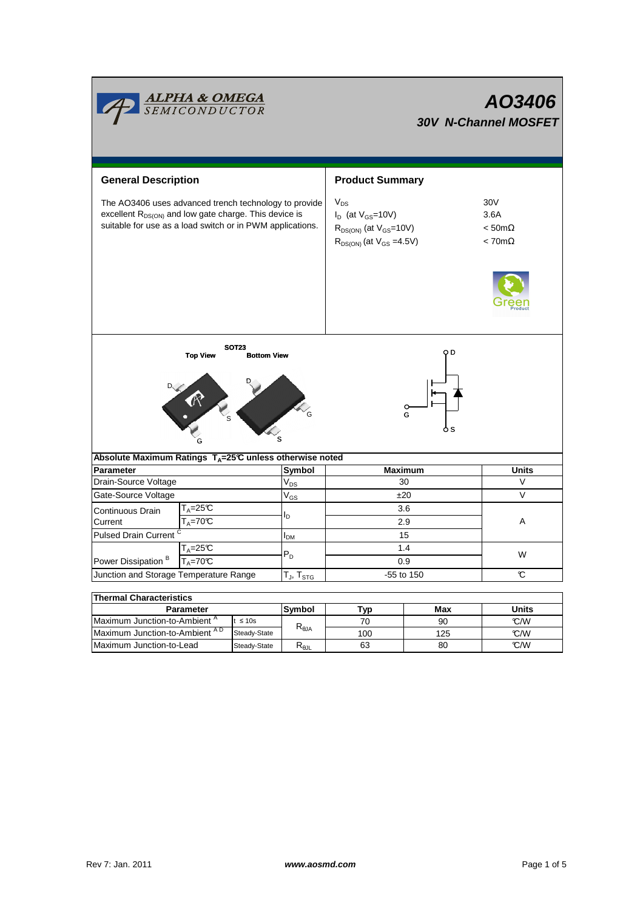|                                                                                                                                                                                         | <mark>ALPHA &amp; OMEGA</mark><br>SEMICONDUCTOR |        | AO3406<br><b>30V N-Channel MOSFET</b> |                                                                                                               |                                                               |      |  |  |
|-----------------------------------------------------------------------------------------------------------------------------------------------------------------------------------------|-------------------------------------------------|--------|---------------------------------------|---------------------------------------------------------------------------------------------------------------|---------------------------------------------------------------|------|--|--|
| <b>General Description</b>                                                                                                                                                              |                                                 |        |                                       | <b>Product Summary</b>                                                                                        |                                                               |      |  |  |
| The AO3406 uses advanced trench technology to provide<br>excellent R <sub>DS(ON)</sub> and low gate charge. This device is<br>suitable for use as a load switch or in PWM applications. |                                                 |        |                                       | $V_{DS}$<br>$I_D$ (at $V_{GS}$ =10V)<br>$R_{DS(ON)}$ (at $V_{GS}$ =10V)<br>$R_{DS(ON)}$ (at $V_{GS} = 4.5V$ ) | 30V<br>3.6A<br>$< 50 \text{m}\Omega$<br>$< 70 \text{m}\Omega$ |      |  |  |
|                                                                                                                                                                                         |                                                 |        |                                       |                                                                                                               |                                                               |      |  |  |
| <b>SOT23</b><br>o D<br><b>Top View</b><br><b>Bottom View</b><br>G<br>o s<br>Absolute Maximum Ratings T <sub>A</sub> =25℃ unless otherwise noted                                         |                                                 |        |                                       |                                                                                                               |                                                               |      |  |  |
| <b>Parameter</b>                                                                                                                                                                        |                                                 |        | Symbol                                | Maximum                                                                                                       | <b>Units</b>                                                  |      |  |  |
| Drain-Source Voltage                                                                                                                                                                    |                                                 |        | $V_{DS}$                              | 30                                                                                                            |                                                               | V    |  |  |
| Gate-Source Voltage                                                                                                                                                                     |                                                 |        | $V_{GS}$                              | ±20                                                                                                           |                                                               | V    |  |  |
| Continuous Drain<br>Current                                                                                                                                                             | $T_A = 25C$<br>$T_A = 70C$                      |        | l <sub>D</sub>                        | 3.6<br>2.9                                                                                                    |                                                               | A    |  |  |
| <b>Pulsed Drain Current</b>                                                                                                                                                             |                                                 |        | I <sub>DM</sub>                       | 15                                                                                                            |                                                               |      |  |  |
| $T_A = 25C$                                                                                                                                                                             |                                                 |        |                                       | 1.4                                                                                                           |                                                               |      |  |  |
| Power Dissipation <sup>B</sup><br>$T_A = 70$ °C                                                                                                                                         |                                                 |        | $P_D$                                 | 0.9                                                                                                           |                                                               | W    |  |  |
| Junction and Storage Temperature Range                                                                                                                                                  |                                                 |        | $T_J$ , $T_{STG}$                     | -55 to 150                                                                                                    |                                                               | C    |  |  |
|                                                                                                                                                                                         |                                                 |        |                                       |                                                                                                               |                                                               |      |  |  |
| <b>Thermal Characteristics</b>                                                                                                                                                          |                                                 |        |                                       |                                                                                                               |                                                               |      |  |  |
| <b>Parameter</b><br>Maximum Junction-to-Ambient <sup>A</sup><br>$t \leq 10s$                                                                                                            |                                                 | Symbol | Typ<br>70                             | Max<br>90                                                                                                     | Units<br>°C/W                                                 |      |  |  |
|                                                                                                                                                                                         | Maximum Junction-to-Ambient AD<br>Steady-State  |        | $\mathsf{R}_{\theta\mathsf{JA}}$      | 100                                                                                                           | 125                                                           | °C/W |  |  |

 $Steady-State$   $R_{\theta JL}$ 

Maximum Junction-to-Lead Steady-State R<sub>6JL</sub> 63 80 C/W

63

80

<u> The Common State Common</u>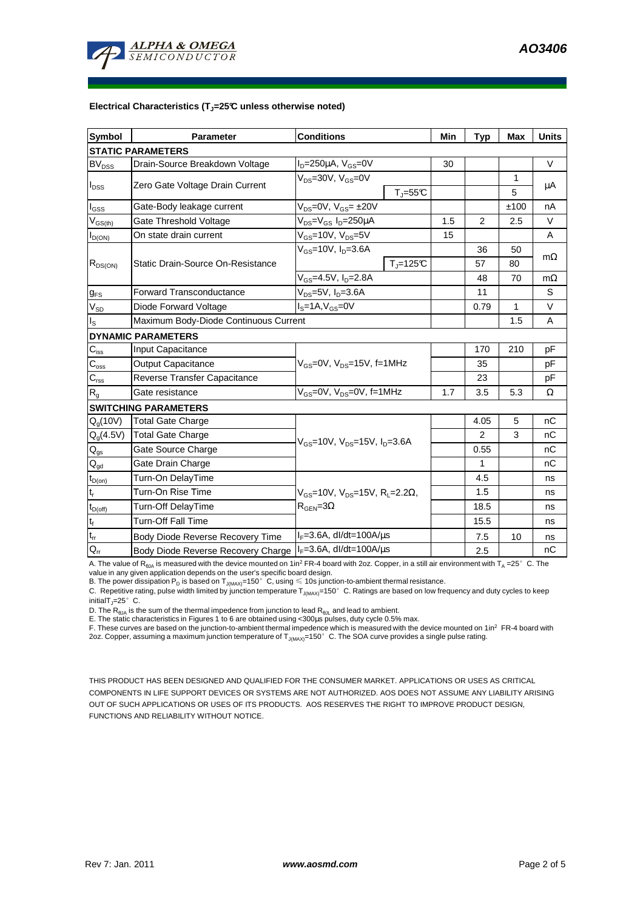

## **Electrical Characteristics (TJ=25°C unless otherwise noted)**

| <b>Symbol</b>              | <b>Parameter</b>                                                      | <b>Conditions</b>                                                                         |                          | Min            | <b>Typ</b>     | <b>Max</b>   | <b>Units</b> |  |  |  |  |  |
|----------------------------|-----------------------------------------------------------------------|-------------------------------------------------------------------------------------------|--------------------------|----------------|----------------|--------------|--------------|--|--|--|--|--|
| <b>STATIC PARAMETERS</b>   |                                                                       |                                                                                           |                          |                |                |              |              |  |  |  |  |  |
| <b>BV</b> <sub>DSS</sub>   | Drain-Source Breakdown Voltage                                        | $ID=250\mu A$ , $VGS=0V$                                                                  |                          | 30             |                |              | $\vee$       |  |  |  |  |  |
| $I_{DSS}$                  |                                                                       | $V_{DS}$ =30V, $V_{GS}$ =0V                                                               |                          |                |                | 1            |              |  |  |  |  |  |
|                            | Zero Gate Voltage Drain Current                                       |                                                                                           | $T_{\parallel} = 55$ °C  |                |                | 5            | μA           |  |  |  |  |  |
| l <sub>GSS</sub>           | Gate-Body leakage current                                             | $V_{DS} = 0V$ , $V_{GS} = \pm 20V$                                                        |                          |                |                | ±100         | nA           |  |  |  |  |  |
| $V_{GS(th)}$               | Gate Threshold Voltage                                                | V <sub>DS</sub> =V <sub>GS</sub> I <sub>D</sub> =250µA                                    | 1.5                      | $\overline{2}$ | 2.5            | $\vee$       |              |  |  |  |  |  |
| $I_{D(ON)}$                | On state drain current                                                | $V_{GS}$ =10V, $V_{DS}$ =5V                                                               |                          | 15             |                |              | A            |  |  |  |  |  |
| $R_{DS(ON)}$               |                                                                       | $V_{GS}$ =10V, I <sub>D</sub> =3.6A                                                       |                          |                | 36             | 50           |              |  |  |  |  |  |
|                            | <b>Static Drain-Source On-Resistance</b>                              |                                                                                           | $T_{\parallel} = 125$ °C |                | 57             | 80           | $m\Omega$    |  |  |  |  |  |
|                            |                                                                       | $V_{GS} = 4.5V$ , $I_D = 2.8A$                                                            |                          |                | 48             | 70           | $m\Omega$    |  |  |  |  |  |
| $g_{FS}$                   | $V_{DS}$ =5V, I <sub>D</sub> =3.6A<br><b>Forward Transconductance</b> |                                                                                           |                          |                | 11             |              | S            |  |  |  |  |  |
| $V_{SD}$                   | Diode Forward Voltage                                                 | $IS=1A, VGS=0V$                                                                           |                          |                |                | $\mathbf{1}$ | $\vee$       |  |  |  |  |  |
| ls                         | Maximum Body-Diode Continuous Current                                 |                                                                                           |                          | 1.5            | A              |              |              |  |  |  |  |  |
|                            | <b>DYNAMIC PARAMETERS</b>                                             |                                                                                           |                          |                |                |              |              |  |  |  |  |  |
| $C_{iss}$                  | <b>Input Capacitance</b>                                              |                                                                                           |                          | 170            | 210            | pF           |              |  |  |  |  |  |
| $C_{\rm oss}$              | <b>Output Capacitance</b>                                             | $V_{GS}$ =0V, $V_{DS}$ =15V, f=1MHz                                                       |                          |                | 35             |              | рF           |  |  |  |  |  |
| $C_{\rm rss}$              | Reverse Transfer Capacitance                                          |                                                                                           |                          |                | 23             |              | pF           |  |  |  |  |  |
| $R_{q}$                    | Gate resistance                                                       | $V_{GS}$ =0V, $V_{DS}$ =0V, f=1MHz                                                        |                          | 1.7            | 3.5            | 5.3          | Ω            |  |  |  |  |  |
|                            | <b>SWITCHING PARAMETERS</b>                                           |                                                                                           |                          |                |                |              |              |  |  |  |  |  |
| $Q_g(10V)$                 | Total Gate Charge                                                     | $V_{GS}$ =10V, $V_{DS}$ =15V, $I_D$ =3.6A                                                 |                          |                | 4.05           | 5            | nC           |  |  |  |  |  |
| $Q_g(4.5V)$                | <b>Total Gate Charge</b>                                              |                                                                                           |                          |                | $\overline{2}$ | 3            | nC           |  |  |  |  |  |
| $\mathsf{Q}_{\mathsf{gs}}$ | Gate Source Charge                                                    |                                                                                           |                          |                | 0.55           |              | nC           |  |  |  |  |  |
| $\mathsf{Q}_{\mathsf{gd}}$ | Gate Drain Charge                                                     |                                                                                           |                          |                | 1              |              | nC           |  |  |  |  |  |
| $t_{D(on)}$                | Turn-On DelayTime                                                     | $V_{\rm cs}$ =10V, $V_{\rm ns}$ =15V, R <sub>i</sub> =2.2Ω,<br>$R_{\text{GEN}} = 3\Omega$ |                          |                | 4.5            |              | ns           |  |  |  |  |  |
| $t_r$                      | Turn-On Rise Time                                                     |                                                                                           |                          |                | 1.5            |              | ns           |  |  |  |  |  |
| $t_{D(off)}$               | Turn-Off DelayTime                                                    |                                                                                           |                          |                | 18.5           |              | ns           |  |  |  |  |  |
| $t_f$                      | <b>Turn-Off Fall Time</b>                                             |                                                                                           |                          | 15.5           |                | ns           |              |  |  |  |  |  |
| $t_{rr}$                   | Body Diode Reverse Recovery Time                                      | $I_F = 3.6A$ , dl/dt=100A/ $\mu$ s                                                        |                          |                | 7.5            | 10           | ns           |  |  |  |  |  |
| $Q_{rr}$                   | Body Diode Reverse Recovery Charge                                    | $I_F = 3.6A$ , dl/dt=100A/ $\mu$ s                                                        |                          | 2.5            |                | nC           |              |  |  |  |  |  |

A. The value of  $R_{\thetaJA}$  is measured with the device mounted on 1in<sup>2</sup> FR-4 board with 2oz. Copper, in a still air environment with T<sub>A</sub> =25°C. The

value in any given application depends on the user's specific board design.<br>B. The power dissipation P<sub>D</sub> is based on T<sub>J(MAX)</sub>=150°C, using ≤ 10s junction-to-ambient thermal resistance.

C. Repetitive rating, pulse width limited by junction temperature  $T_{J(MAX)}$ =150°C. Ratings are based on low frequency and duty cycles to keep initialT $_{\text{I}}$ =25°C.

D. The  $R_{\theta JA}$  is the sum of the thermal impedence from junction to lead  $R_{\theta JL}$  and lead to ambient.

E. The static characteristics in Figures 1 to 6 are obtained using <300us pulses, duty cycle 0.5% max.

F. These curves are based on the junction-to-ambient thermal impedence which is measured with the device mounted on 1in<sup>2</sup> FR-4 board with 2oz. Copper, assuming a maximum junction temperature of  $T_{J(MAX)}$ =150°C. The SOA curve provides a single pulse rating.

THIS PRODUCT HAS BEEN DESIGNED AND QUALIFIED FOR THE CONSUMER MARKET. APPLICATIONS OR USES AS CRITICAL COMPONENTS IN LIFE SUPPORT DEVICES OR SYSTEMS ARE NOT AUTHORIZED. AOS DOES NOT ASSUME ANY LIABILITY ARISING OUT OF SUCH APPLICATIONS OR USES OF ITS PRODUCTS. AOS RESERVES THE RIGHT TO IMPROVE PRODUCT DESIGN, FUNCTIONS AND RELIABILITY WITHOUT NOTICE.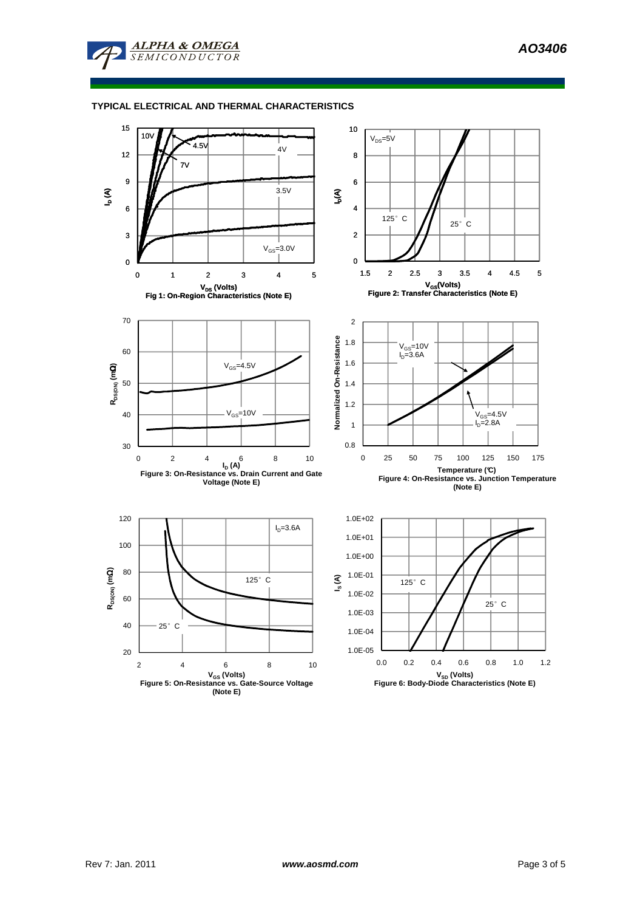

## **TYPICAL ELECTRICAL AND THERMAL CHARACTERISTICS**

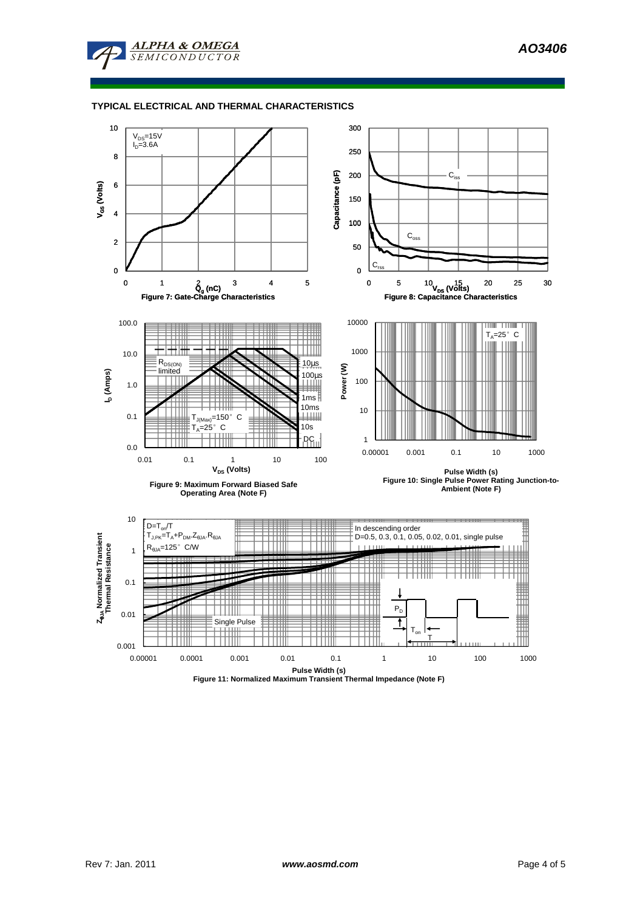

## **TYPICAL ELECTRICAL AND THERMAL CHARACTERISTICS**